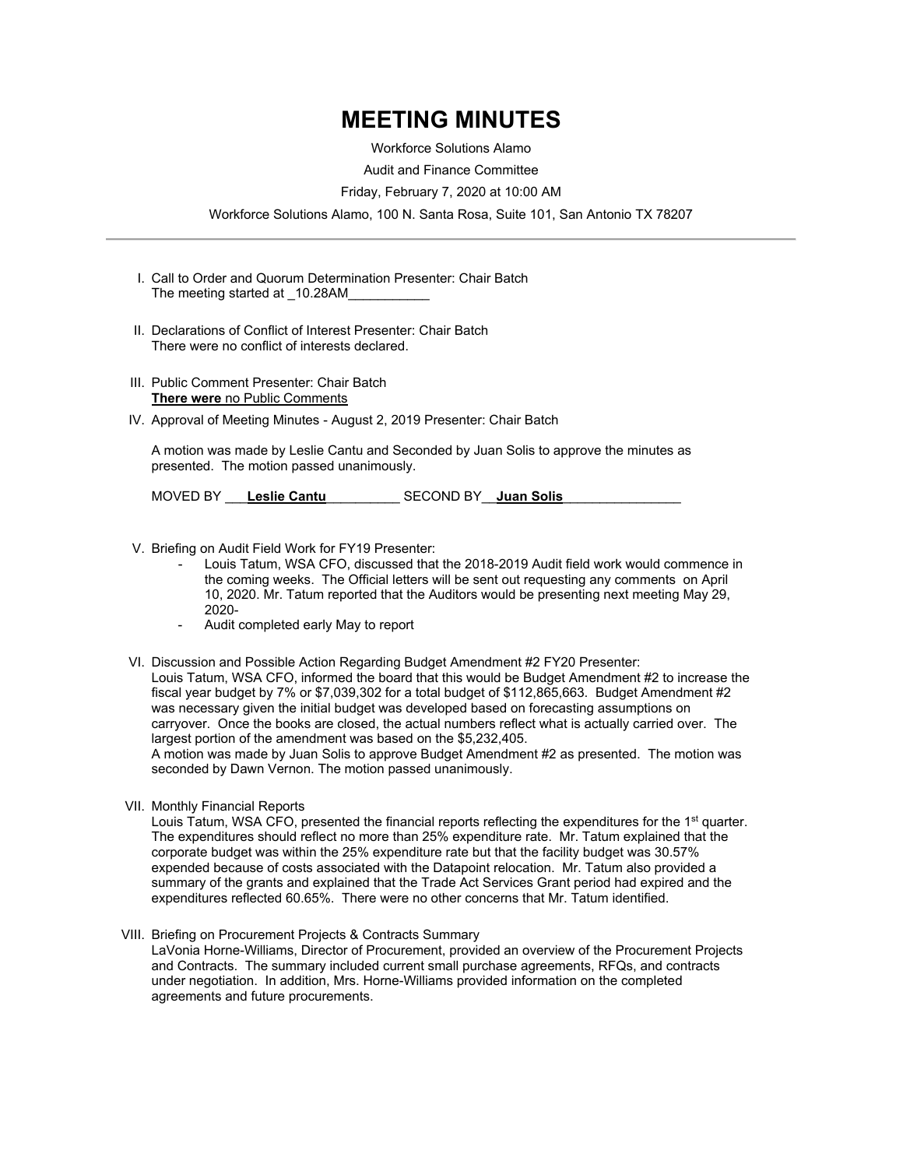## **MEETING MINUTES**

Workforce Solutions Alamo

Audit and Finance Committee

Friday, February 7, 2020 at 10:00 AM

Workforce Solutions Alamo, 100 N. Santa Rosa, Suite 101, San Antonio TX 78207

- I. Call to Order and Quorum Determination Presenter: Chair Batch The meeting started at \_10.28AM
- II. Declarations of Conflict of Interest Presenter: Chair Batch There were no conflict of interests declared.
- III. Public Comment Presenter: Chair Batch **There were** no Public Comments
- IV. Approval of Meeting Minutes August 2, 2019 Presenter: Chair Batch

A motion was made by Leslie Cantu and Seconded by Juan Solis to approve the minutes as presented. The motion passed unanimously.

MOVED BY \_\_\_**Leslie Cantu**\_\_\_\_\_\_\_\_\_\_ SECOND BY\_\_**Juan Solis**\_\_\_\_\_\_\_\_\_\_\_\_\_\_\_\_

- V. Briefing on Audit Field Work for FY19 Presenter:
	- Louis Tatum, WSA CFO, discussed that the 2018-2019 Audit field work would commence in the coming weeks. The Official letters will be sent out requesting any comments on April 10, 2020. Mr. Tatum reported that the Auditors would be presenting next meeting May 29, 2020-
	- Audit completed early May to report
- VI. Discussion and Possible Action Regarding Budget Amendment #2 FY20 Presenter: Louis Tatum, WSA CFO, informed the board that this would be Budget Amendment #2 to increase the fiscal year budget by 7% or \$7,039,302 for a total budget of \$112,865,663. Budget Amendment #2 was necessary given the initial budget was developed based on forecasting assumptions on carryover. Once the books are closed, the actual numbers reflect what is actually carried over. The largest portion of the amendment was based on the \$5,232,405.

A motion was made by Juan Solis to approve Budget Amendment #2 as presented. The motion was seconded by Dawn Vernon. The motion passed unanimously.

VII. Monthly Financial Reports

Louis Tatum, WSA CFO, presented the financial reports reflecting the expenditures for the 1<sup>st</sup> quarter. The expenditures should reflect no more than 25% expenditure rate. Mr. Tatum explained that the corporate budget was within the 25% expenditure rate but that the facility budget was 30.57% expended because of costs associated with the Datapoint relocation. Mr. Tatum also provided a summary of the grants and explained that the Trade Act Services Grant period had expired and the expenditures reflected 60.65%. There were no other concerns that Mr. Tatum identified.

VIII. Briefing on Procurement Projects & Contracts Summary

LaVonia Horne-Williams, Director of Procurement, provided an overview of the Procurement Projects and Contracts. The summary included current small purchase agreements, RFQs, and contracts under negotiation. In addition, Mrs. Horne-Williams provided information on the completed agreements and future procurements.